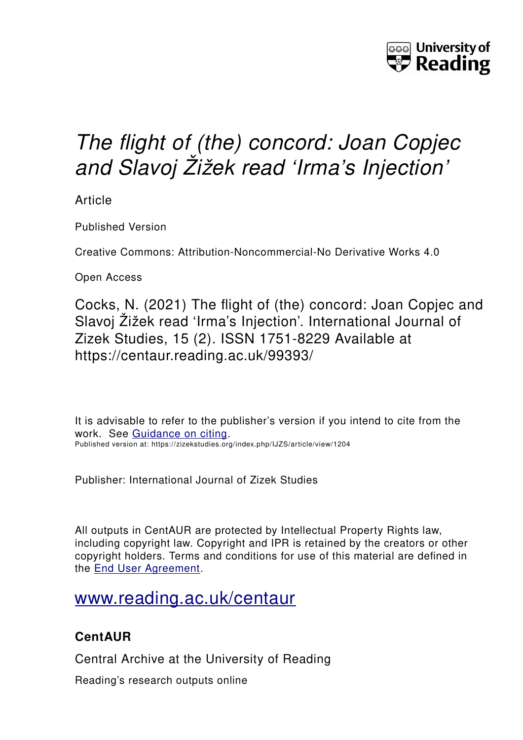

# *The flight of (the) concord: Joan Copjec and Slavoj Žižek read 'Irma's Injection'*

Article

Published Version

Creative Commons: Attribution-Noncommercial-No Derivative Works 4.0

Open Access

Cocks, N. (2021) The flight of (the) concord: Joan Copjec and Slavoj Žižek read 'Irma's Injection'. International Journal of Zizek Studies, 15 (2). ISSN 1751-8229 Available at https://centaur.reading.ac.uk/99393/

It is advisable to refer to the publisher's version if you intend to cite from the work. See [Guidance on citing.](http://centaur.reading.ac.uk/71187/10/CentAUR%20citing%20guide.pdf) Published version at: https://zizekstudies.org/index.php/IJZS/article/view/1204

Publisher: International Journal of Zizek Studies

All outputs in CentAUR are protected by Intellectual Property Rights law, including copyright law. Copyright and IPR is retained by the creators or other copyright holders. Terms and conditions for use of this material are defined in the [End User Agreement.](http://centaur.reading.ac.uk/licence)

### [www.reading.ac.uk/centaur](http://www.reading.ac.uk/centaur)

### **CentAUR**

Central Archive at the University of Reading

Reading's research outputs online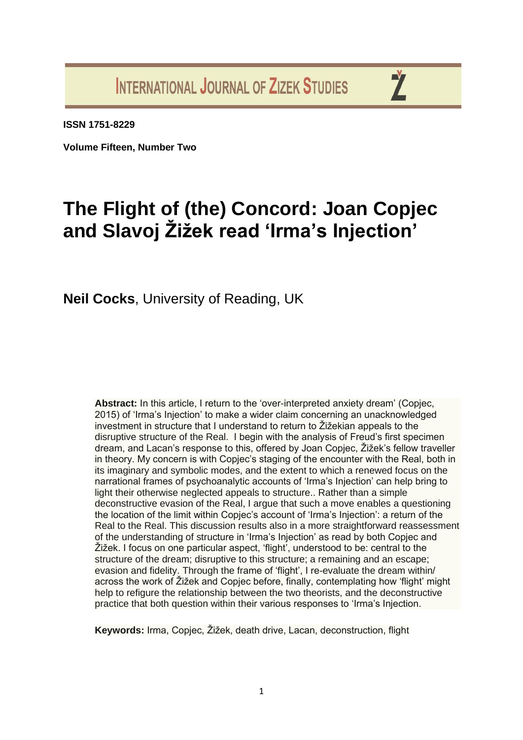**INTERNATIONAL JOURNAL OF ZIZEK STUDIES** 

Ž

**ISSN 1751-8229**

**Volume Fifteen, Number Two**

## **The Flight of (the) Concord: Joan Copjec and Slavoj Žižek read 'Irma's Injection'**

**Neil Cocks**, University of Reading, UK

**Abstract:** In this article, I return to the 'over-interpreted anxiety dream' (Copjec, 2015) of 'Irma's Injection' to make a wider claim concerning an unacknowledged investment in structure that I understand to return to Žižekian appeals to the disruptive structure of the Real. I begin with the analysis of Freud's first specimen dream, and Lacan's response to this, offered by Joan Copjec, Žižek's fellow traveller in theory. My concern is with Copjec's staging of the encounter with the Real, both in its imaginary and symbolic modes, and the extent to which a renewed focus on the narrational frames of psychoanalytic accounts of 'Irma's Injection' can help bring to light their otherwise neglected appeals to structure.. Rather than a simple deconstructive evasion of the Real, I argue that such a move enables a questioning the location of the limit within Copjec's account of 'Irma's Injection': a return of the Real to the Real. This discussion results also in a more straightforward reassessment of the understanding of structure in 'Irma's Injection' as read by both Copjec and Žižek. I focus on one particular aspect, 'flight', understood to be: central to the structure of the dream; disruptive to this structure; a remaining and an escape; evasion and fidelity. Through the frame of 'flight', I re-evaluate the dream within/ across the work of Žižek and Copjec before, finally, contemplating how 'flight' might help to refigure the relationship between the two theorists, and the deconstructive practice that both question within their various responses to 'Irma's Injection.

**Keywords:** Irma, Copjec, Žižek, death drive, Lacan, deconstruction, flight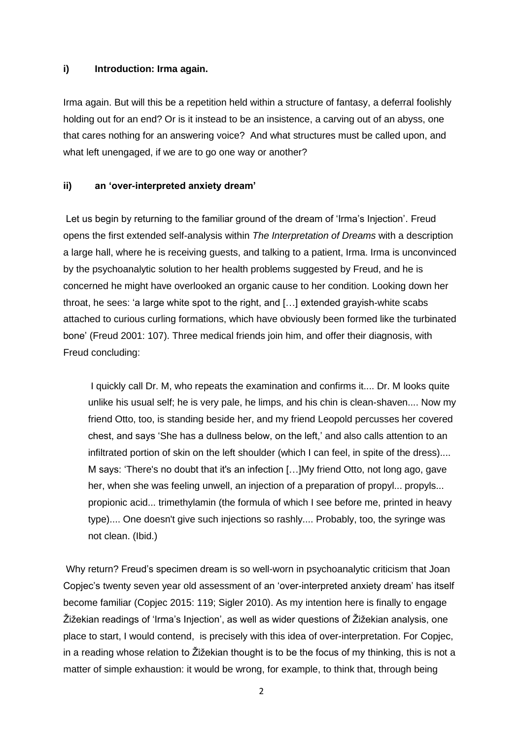#### **i) Introduction: Irma again.**

Irma again. But will this be a repetition held within a structure of fantasy, a deferral foolishly holding out for an end? Or is it instead to be an insistence, a carving out of an abyss, one that cares nothing for an answering voice? And what structures must be called upon, and what left unengaged, if we are to go one way or another?

#### **ii) an 'over-interpreted anxiety dream'**

Let us begin by returning to the familiar ground of the dream of 'Irma's Injection'. Freud opens the first extended self-analysis within *The Interpretation of Dreams* with a description a large hall, where he is receiving guests, and talking to a patient, Irma. Irma is unconvinced by the psychoanalytic solution to her health problems suggested by Freud, and he is concerned he might have overlooked an organic cause to her condition. Looking down her throat, he sees: 'a large white spot to the right, and […] extended grayish-white scabs attached to curious curling formations, which have obviously been formed like the turbinated bone' (Freud 2001: 107). Three medical friends join him, and offer their diagnosis, with Freud concluding:

I quickly call Dr. M, who repeats the examination and confirms it.... Dr. M looks quite unlike his usual self; he is very pale, he limps, and his chin is clean-shaven.... Now my friend Otto, too, is standing beside her, and my friend Leopold percusses her covered chest, and says 'She has a dullness below, on the left,' and also calls attention to an infiltrated portion of skin on the left shoulder (which I can feel, in spite of the dress).... M says: 'There's no doubt that it's an infection […]My friend Otto, not long ago, gave her, when she was feeling unwell, an injection of a preparation of propyl... propyls... propionic acid... trimethylamin (the formula of which I see before me, printed in heavy type).... One doesn't give such injections so rashly.... Probably, too, the syringe was not clean. (Ibid.)

Why return? Freud's specimen dream is so well-worn in psychoanalytic criticism that Joan Copjec's twenty seven year old assessment of an 'over-interpreted anxiety dream' has itself become familiar (Copjec 2015: 119; Sigler 2010). As my intention here is finally to engage Žižekian readings of 'Irma's Injection', as well as wider questions of Žižekian analysis, one place to start, I would contend, is precisely with this idea of over-interpretation. For Copjec, in a reading whose relation to Žižekian thought is to be the focus of my thinking, this is not a matter of simple exhaustion: it would be wrong, for example, to think that, through being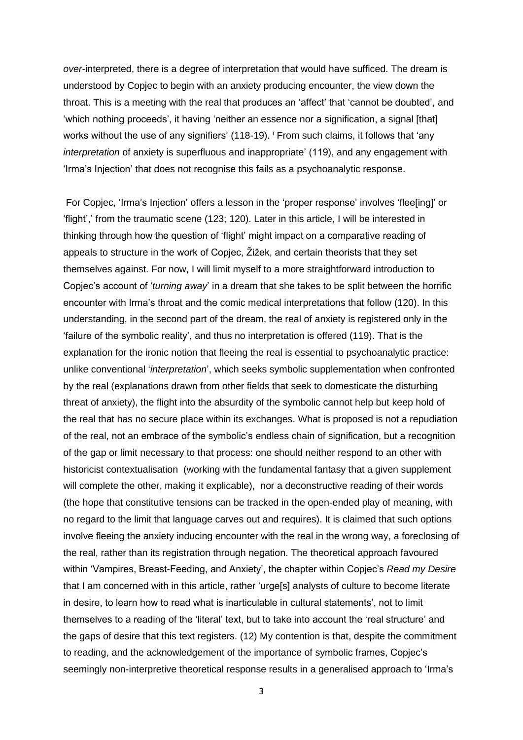*over*-interpreted, there is a degree of interpretation that would have sufficed. The dream is understood by Copjec to begin with an anxiety producing encounter, the view down the throat. This is a meeting with the real that produces an 'affect' that 'cannot be doubted', and 'which nothing proceeds', it having 'neither an essence nor a signification, a signal [that] works without the use of any signifiers' (118-19). <sup>i</sup> From such claims, it follows that 'any *interpretation* of anxiety is superfluous and inappropriate' (119), and any engagement with 'Irma's Injection' that does not recognise this fails as a psychoanalytic response.

For Copjec, 'Irma's Injection' offers a lesson in the 'proper response' involves 'flee[ing]' or 'flight',' from the traumatic scene (123; 120). Later in this article, I will be interested in thinking through how the question of 'flight' might impact on a comparative reading of appeals to structure in the work of Copjec, Žižek, and certain theorists that they set themselves against. For now, I will limit myself to a more straightforward introduction to Copjec's account of '*turning away*' in a dream that she takes to be split between the horrific encounter with Irma's throat and the comic medical interpretations that follow (120). In this understanding, in the second part of the dream, the real of anxiety is registered only in the 'failure of the symbolic reality', and thus no interpretation is offered (119). That is the explanation for the ironic notion that fleeing the real is essential to psychoanalytic practice: unlike conventional '*interpretation*', which seeks symbolic supplementation when confronted by the real (explanations drawn from other fields that seek to domesticate the disturbing threat of anxiety), the flight into the absurdity of the symbolic cannot help but keep hold of the real that has no secure place within its exchanges. What is proposed is not a repudiation of the real, not an embrace of the symbolic's endless chain of signification, but a recognition of the gap or limit necessary to that process: one should neither respond to an other with historicist contextualisation (working with the fundamental fantasy that a given supplement will complete the other, making it explicable), nor a deconstructive reading of their words (the hope that constitutive tensions can be tracked in the open-ended play of meaning, with no regard to the limit that language carves out and requires). It is claimed that such options involve fleeing the anxiety inducing encounter with the real in the wrong way, a foreclosing of the real, rather than its registration through negation. The theoretical approach favoured within 'Vampires, Breast-Feeding, and Anxiety', the chapter within Copjec's *Read my Desire* that I am concerned with in this article, rather 'urge[s] analysts of culture to become literate in desire, to learn how to read what is inarticulable in cultural statements', not to limit themselves to a reading of the 'literal' text, but to take into account the 'real structure' and the gaps of desire that this text registers. (12) My contention is that, despite the commitment to reading, and the acknowledgement of the importance of symbolic frames, Copjec's seemingly non-interpretive theoretical response results in a generalised approach to 'Irma's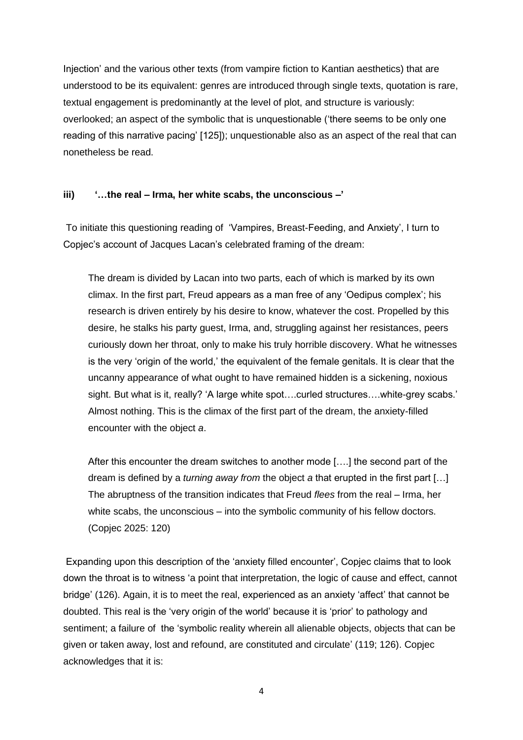Injection' and the various other texts (from vampire fiction to Kantian aesthetics) that are understood to be its equivalent: genres are introduced through single texts, quotation is rare, textual engagement is predominantly at the level of plot, and structure is variously: overlooked; an aspect of the symbolic that is unquestionable ('there seems to be only one reading of this narrative pacing' [125]); unquestionable also as an aspect of the real that can nonetheless be read.

#### **iii) '…the real – Irma, her white scabs, the unconscious –'**

To initiate this questioning reading of 'Vampires, Breast-Feeding, and Anxiety', I turn to Copjec's account of Jacques Lacan's celebrated framing of the dream:

The dream is divided by Lacan into two parts, each of which is marked by its own climax. In the first part, Freud appears as a man free of any 'Oedipus complex'; his research is driven entirely by his desire to know, whatever the cost. Propelled by this desire, he stalks his party guest, Irma, and, struggling against her resistances, peers curiously down her throat, only to make his truly horrible discovery. What he witnesses is the very 'origin of the world,' the equivalent of the female genitals. It is clear that the uncanny appearance of what ought to have remained hidden is a sickening, noxious sight. But what is it, really? 'A large white spot….curled structures….white-grey scabs.' Almost nothing. This is the climax of the first part of the dream, the anxiety-filled encounter with the object *a*.

After this encounter the dream switches to another mode [….] the second part of the dream is defined by a *turning away from* the object *a* that erupted in the first part […] The abruptness of the transition indicates that Freud *flees* from the real – Irma, her white scabs, the unconscious – into the symbolic community of his fellow doctors. (Copjec 2025: 120)

Expanding upon this description of the 'anxiety filled encounter', Copjec claims that to look down the throat is to witness 'a point that interpretation, the logic of cause and effect, cannot bridge' (126). Again, it is to meet the real, experienced as an anxiety 'affect' that cannot be doubted. This real is the 'very origin of the world' because it is 'prior' to pathology and sentiment; a failure of the 'symbolic reality wherein all alienable objects, objects that can be given or taken away, lost and refound, are constituted and circulate' (119; 126). Copjec acknowledges that it is: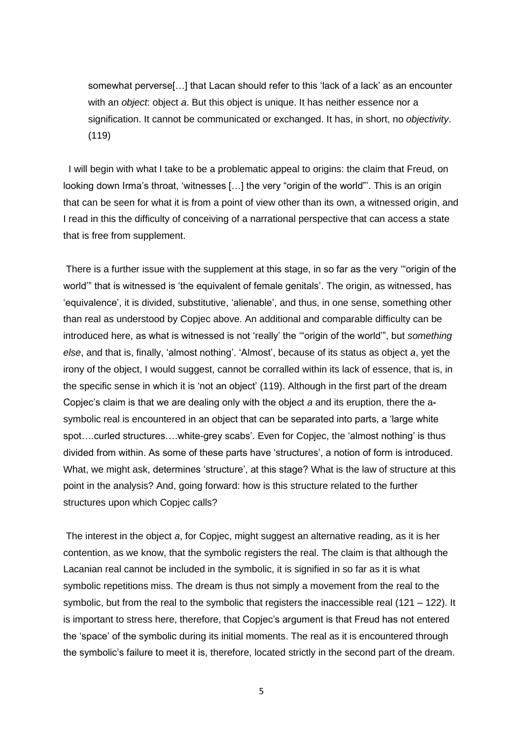somewhat perverse[…] that Lacan should refer to this 'lack of a lack' as an encounter with an *object*: object *a*. But this object is unique. It has neither essence nor a signification. It cannot be communicated or exchanged. It has, in short, no *objectivity*. (119)

I will begin with what I take to be a problematic appeal to origins: the claim that Freud, on looking down Irma's throat, 'witnesses […] the very "origin of the world"'. This is an origin that can be seen for what it is from a point of view other than its own, a witnessed origin, and I read in this the difficulty of conceiving of a narrational perspective that can access a state that is free from supplement.

There is a further issue with the supplement at this stage, in so far as the very '"origin of the world'" that is witnessed is 'the equivalent of female genitals'. The origin, as witnessed, has 'equivalence', it is divided, substitutive, 'alienable', and thus, in one sense, something other than real as understood by Copjec above. An additional and comparable difficulty can be introduced here, as what is witnessed is not 'really' the '"origin of the world'", but *something else*, and that is, finally, 'almost nothing'. 'Almost', because of its status as object *a*, yet the irony of the object, I would suggest, cannot be corralled within its lack of essence, that is, in the specific sense in which it is 'not an object' (119). Although in the first part of the dream Copjec's claim is that we are dealing only with the object *a* and its eruption, there the asymbolic real is encountered in an object that can be separated into parts, a 'large white spot….curled structures….white-grey scabs'. Even for Copjec, the 'almost nothing' is thus divided from within. As some of these parts have 'structures', a notion of form is introduced. What, we might ask, determines 'structure', at this stage? What is the law of structure at this point in the analysis? And, going forward: how is this structure related to the further structures upon which Copjec calls?

The interest in the object *a*, for Copjec, might suggest an alternative reading, as it is her contention, as we know, that the symbolic registers the real. The claim is that although the Lacanian real cannot be included in the symbolic, it is signified in so far as it is what symbolic repetitions miss. The dream is thus not simply a movement from the real to the symbolic, but from the real to the symbolic that registers the inaccessible real  $(121 - 122)$ . It is important to stress here, therefore, that Copjec's argument is that Freud has not entered the 'space' of the symbolic during its initial moments. The real as it is encountered through the symbolic's failure to meet it is, therefore, located strictly in the second part of the dream.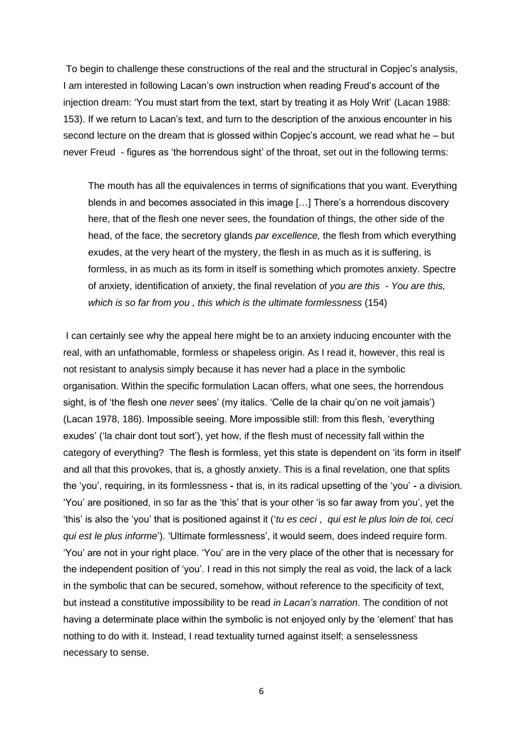To begin to challenge these constructions of the real and the structural in Copjec's analysis, I am interested in following Lacan's own instruction when reading Freud's account of the injection dream: 'You must start from the text, start by treating it as Holy Writ' (Lacan 1988: 153). If we return to Lacan's text, and turn to the description of the anxious encounter in his second lecture on the dream that is glossed within Copjec's account, we read what he – but never Freud - figures as 'the horrendous sight' of the throat, set out in the following terms:

The mouth has all the equivalences in terms of significations that you want. Everything blends in and becomes associated in this image […] There's a horrendous discovery here, that of the flesh one never sees, the foundation of things, the other side of the head, of the face, the secretory glands *par excellence,* the flesh from which everything exudes, at the very heart of the mystery, the flesh in as much as it is suffering, is formless, in as much as its form in itself is something which promotes anxiety. Spectre of anxiety, identification of anxiety, the final revelation of *you are this - You are this, which is so far from you , this which is the ultimate formlessness* (154)

I can certainly see why the appeal here might be to an anxiety inducing encounter with the real, with an unfathomable, formless or shapeless origin. As I read it, however, this real is not resistant to analysis simply because it has never had a place in the symbolic organisation. Within the specific formulation Lacan offers, what one sees, the horrendous sight, is of 'the flesh one *never* sees' (my italics. 'Celle de la chair qu'on ne voit jamais') (Lacan 1978, 186). Impossible seeing. More impossible still: from this flesh, 'everything exudes' ('la chair dont tout sort'), yet how, if the flesh must of necessity fall within the category of everything? The flesh is formless, yet this state is dependent on 'its form in itself' and all that this provokes, that is, a ghostly anxiety. This is a final revelation, one that splits the 'you', requiring, in its formlessness **-** that is, in its radical upsetting of the 'you' **-** a division. 'You' are positioned, in so far as the 'this' that is your other 'is so far away from you', yet the 'this' is also the 'you' that is positioned against it ('*tu es ceci* , *qui est le plus loin de toi, ceci qui est le plus informe*'). 'Ultimate formlessness', it would seem, does indeed require form. 'You' are not in your right place. 'You' are in the very place of the other that is necessary for the independent position of 'you'. I read in this not simply the real as void, the lack of a lack in the symbolic that can be secured, somehow, without reference to the specificity of text, but instead a constitutive impossibility to be read *in Lacan's narration*. The condition of not having a determinate place within the symbolic is not enjoyed only by the 'element' that has nothing to do with it. Instead, I read textuality turned against itself; a senselessness necessary to sense.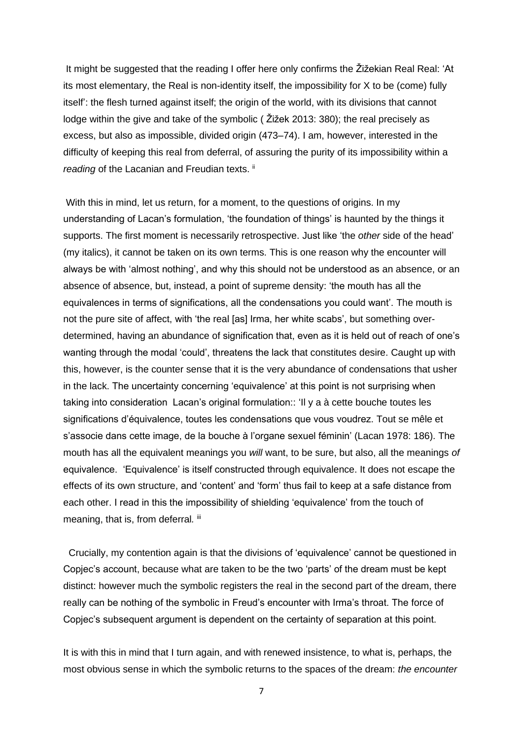It might be suggested that the reading I offer here only confirms the Žižekian Real Real: 'At its most elementary, the Real is non-identity itself, the impossibility for X to be (come) fully itself': the flesh turned against itself; the origin of the world, with its divisions that cannot lodge within the give and take of the symbolic ( Žižek 2013: 380); the real precisely as excess, but also as impossible, divided origin (473–74). I am, however, interested in the difficulty of keeping this real from deferral, of assuring the purity of its impossibility within a reading of the Lacanian and Freudian texts.<sup>ii</sup>

With this in mind, let us return, for a moment, to the questions of origins. In my understanding of Lacan's formulation, 'the foundation of things' is haunted by the things it supports. The first moment is necessarily retrospective. Just like 'the *other* side of the head' (my italics), it cannot be taken on its own terms. This is one reason why the encounter will always be with 'almost nothing', and why this should not be understood as an absence, or an absence of absence, but, instead, a point of supreme density: 'the mouth has all the equivalences in terms of significations, all the condensations you could want'. The mouth is not the pure site of affect, with 'the real [as] Irma, her white scabs', but something overdetermined, having an abundance of signification that, even as it is held out of reach of one's wanting through the modal 'could', threatens the lack that constitutes desire. Caught up with this, however, is the counter sense that it is the very abundance of condensations that usher in the lack. The uncertainty concerning 'equivalence' at this point is not surprising when taking into consideration Lacan's original formulation:: 'Il y a à cette bouche toutes les significations d'équivalence, toutes les condensations que vous voudrez. Tout se mêle et s'associe dans cette image, de la bouche à l'organe sexuel féminin' (Lacan 1978: 186). The mouth has all the equivalent meanings you *will* want, to be sure, but also, all the meanings *of* equivalence. 'Equivalence' is itself constructed through equivalence. It does not escape the effects of its own structure, and 'content' and 'form' thus fail to keep at a safe distance from each other. I read in this the impossibility of shielding 'equivalence' from the touch of meaning, that is, from deferral. iii

Crucially, my contention again is that the divisions of 'equivalence' cannot be questioned in Copjec's account, because what are taken to be the two 'parts' of the dream must be kept distinct: however much the symbolic registers the real in the second part of the dream, there really can be nothing of the symbolic in Freud's encounter with Irma's throat. The force of Copjec's subsequent argument is dependent on the certainty of separation at this point.

It is with this in mind that I turn again, and with renewed insistence, to what is, perhaps, the most obvious sense in which the symbolic returns to the spaces of the dream: *the encounter*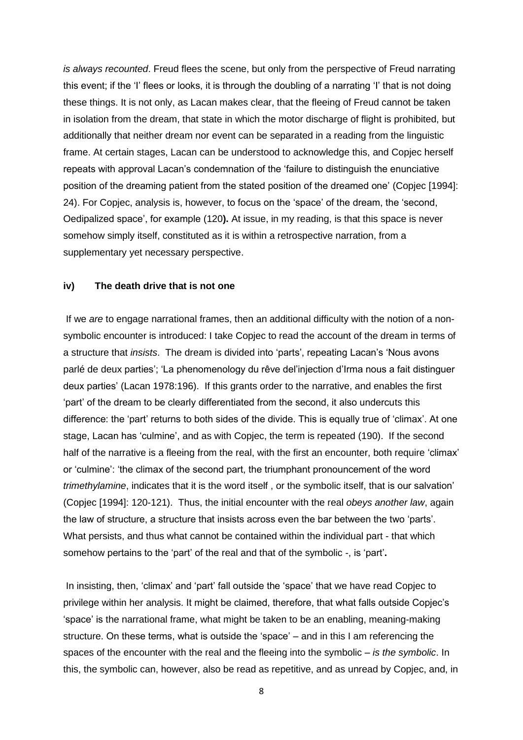*is always recounted*. Freud flees the scene, but only from the perspective of Freud narrating this event; if the 'I' flees or looks, it is through the doubling of a narrating 'I' that is not doing these things. It is not only, as Lacan makes clear, that the fleeing of Freud cannot be taken in isolation from the dream, that state in which the motor discharge of flight is prohibited, but additionally that neither dream nor event can be separated in a reading from the linguistic frame. At certain stages, Lacan can be understood to acknowledge this, and Copjec herself repeats with approval Lacan's condemnation of the 'failure to distinguish the enunciative position of the dreaming patient from the stated position of the dreamed one' (Copjec [1994]: 24). For Copjec, analysis is, however, to focus on the 'space' of the dream, the 'second, Oedipalized space', for example (120**).** At issue, in my reading, is that this space is never somehow simply itself, constituted as it is within a retrospective narration, from a supplementary yet necessary perspective.

#### **iv) The death drive that is not one**

If we *are* to engage narrational frames, then an additional difficulty with the notion of a nonsymbolic encounter is introduced: I take Copjec to read the account of the dream in terms of a structure that *insists*. The dream is divided into 'parts', repeating Lacan's 'Nous avons parlé de deux parties'; 'La phenomenology du rêve del'injection d'Irma nous a fait distinguer deux parties' (Lacan 1978:196). If this grants order to the narrative, and enables the first 'part' of the dream to be clearly differentiated from the second, it also undercuts this difference: the 'part' returns to both sides of the divide. This is equally true of 'climax'. At one stage, Lacan has 'culmine', and as with Copjec, the term is repeated (190). If the second half of the narrative is a fleeing from the real, with the first an encounter, both require 'climax' or 'culmine': 'the climax of the second part, the triumphant pronouncement of the word *trimethylamine*, indicates that it is the word itself , or the symbolic itself, that is our salvation' (Copjec [1994]: 120-121). Thus, the initial encounter with the real *obeys another law*, again the law of structure, a structure that insists across even the bar between the two 'parts'. What persists, and thus what cannot be contained within the individual part - that which somehow pertains to the 'part' of the real and that of the symbolic -, is 'part'**.** 

In insisting, then, 'climax' and 'part' fall outside the 'space' that we have read Copjec to privilege within her analysis. It might be claimed, therefore, that what falls outside Copjec's 'space' is the narrational frame, what might be taken to be an enabling, meaning-making structure. On these terms, what is outside the 'space' – and in this I am referencing the spaces of the encounter with the real and the fleeing into the symbolic *– is the symbolic*. In this, the symbolic can, however, also be read as repetitive, and as unread by Copjec, and, in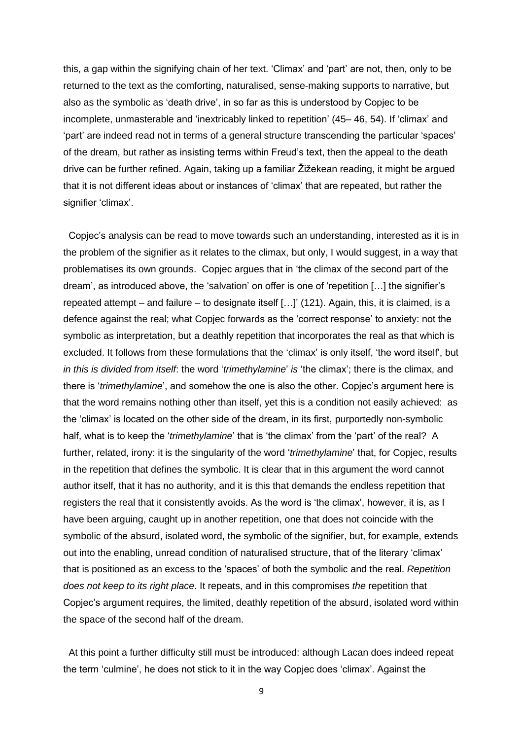this, a gap within the signifying chain of her text. 'Climax' and 'part' are not, then, only to be returned to the text as the comforting, naturalised, sense-making supports to narrative, but also as the symbolic as 'death drive', in so far as this is understood by Copjec to be incomplete, unmasterable and 'inextricably linked to repetition' (45– 46, 54). If 'climax' and 'part' are indeed read not in terms of a general structure transcending the particular 'spaces' of the dream, but rather as insisting terms within Freud's text, then the appeal to the death drive can be further refined. Again, taking up a familiar Žižekean reading, it might be argued that it is not different ideas about or instances of 'climax' that are repeated, but rather the signifier 'climax'.

Copjec's analysis can be read to move towards such an understanding, interested as it is in the problem of the signifier as it relates to the climax, but only, I would suggest, in a way that problematises its own grounds. Copjec argues that in 'the climax of the second part of the dream', as introduced above, the 'salvation' on offer is one of 'repetition […] the signifier's repeated attempt – and failure – to designate itself […]' (121). Again, this, it is claimed, is a defence against the real; what Copjec forwards as the 'correct response' to anxiety: not the symbolic as interpretation, but a deathly repetition that incorporates the real as that which is excluded. It follows from these formulations that the 'climax' is only itself, 'the word itself', but *in this is divided from itself*: the word '*trimethylamine*' *is* 'the climax'; there is the climax, and there is '*trimethylamine*', and somehow the one is also the other. Copjec's argument here is that the word remains nothing other than itself, yet this is a condition not easily achieved: as the 'climax' is located on the other side of the dream, in its first, purportedly non-symbolic half, what is to keep the *'trimethylamine'* that is 'the climax' from the 'part' of the real? A further, related, irony: it is the singularity of the word '*trimethylamine*' that, for Copjec, results in the repetition that defines the symbolic. It is clear that in this argument the word cannot author itself, that it has no authority, and it is this that demands the endless repetition that registers the real that it consistently avoids. As the word is 'the climax', however, it is, as I have been arguing, caught up in another repetition, one that does not coincide with the symbolic of the absurd, isolated word, the symbolic of the signifier, but, for example, extends out into the enabling, unread condition of naturalised structure, that of the literary 'climax' that is positioned as an excess to the 'spaces' of both the symbolic and the real. *Repetition does not keep to its right place*. It repeats, and in this compromises *the* repetition that Copjec's argument requires, the limited, deathly repetition of the absurd, isolated word within the space of the second half of the dream.

At this point a further difficulty still must be introduced: although Lacan does indeed repeat the term 'culmine', he does not stick to it in the way Copjec does 'climax'. Against the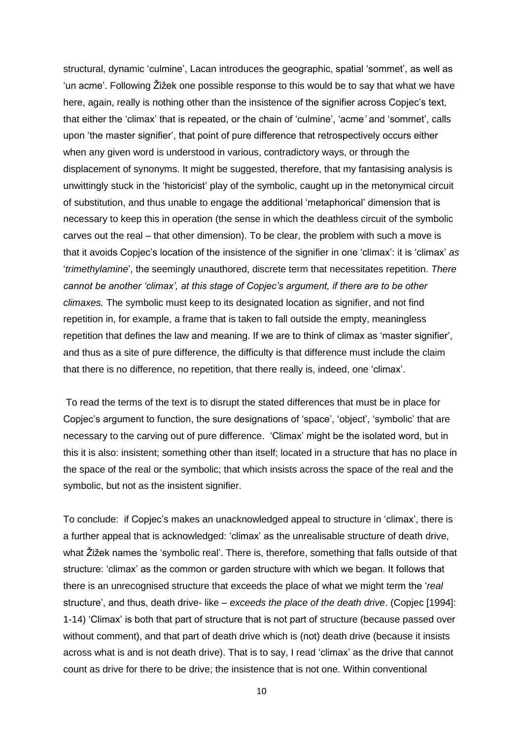structural, dynamic 'culmine', Lacan introduces the geographic, spatial 'sommet', as well as 'un acme'. Following Žižek one possible response to this would be to say that what we have here, again, really is nothing other than the insistence of the signifier across Copjec's text, that either the 'climax' that is repeated, or the chain of 'culmine', 'acme*'* and 'sommet', calls upon 'the master signifier', that point of pure difference that retrospectively occurs either when any given word is understood in various, contradictory ways, or through the displacement of synonyms. It might be suggested, therefore, that my fantasising analysis is unwittingly stuck in the 'historicist' play of the symbolic, caught up in the metonymical circuit of substitution, and thus unable to engage the additional 'metaphorical' dimension that is necessary to keep this in operation (the sense in which the deathless circuit of the symbolic carves out the real – that other dimension). To be clear, the problem with such a move is that it avoids Copjec's location of the insistence of the signifier in one 'climax': it is 'climax' *as* '*trimethylamine*', the seemingly unauthored, discrete term that necessitates repetition. *There cannot be another 'climax', at this stage of Copjec's argument, if there are to be other climaxes.* The symbolic must keep to its designated location as signifier, and not find repetition in, for example, a frame that is taken to fall outside the empty, meaningless repetition that defines the law and meaning. If we are to think of climax as 'master signifier', and thus as a site of pure difference, the difficulty is that difference must include the claim that there is no difference, no repetition, that there really is, indeed, one 'climax'.

To read the terms of the text is to disrupt the stated differences that must be in place for Copjec's argument to function, the sure designations of 'space', 'object', 'symbolic' that are necessary to the carving out of pure difference. 'Climax' might be the isolated word, but in this it is also: insistent; something other than itself; located in a structure that has no place in the space of the real or the symbolic; that which insists across the space of the real and the symbolic, but not as the insistent signifier.

To conclude: if Copjec's makes an unacknowledged appeal to structure in 'climax', there is a further appeal that is acknowledged: 'climax' as the unrealisable structure of death drive, what Žižek names the 'symbolic real'. There is, therefore, something that falls outside of that structure: 'climax' as the common or garden structure with which we began. It follows that there is an unrecognised structure that exceeds the place of what we might term the '*real* structure', and thus, death drive- like – *exceeds the place of the death drive*. (Copjec [1994]: 1-14) 'Climax' is both that part of structure that is not part of structure (because passed over without comment), and that part of death drive which is (not) death drive (because it insists across what is and is not death drive). That is to say, I read 'climax' as the drive that cannot count as drive for there to be drive; the insistence that is not one. Within conventional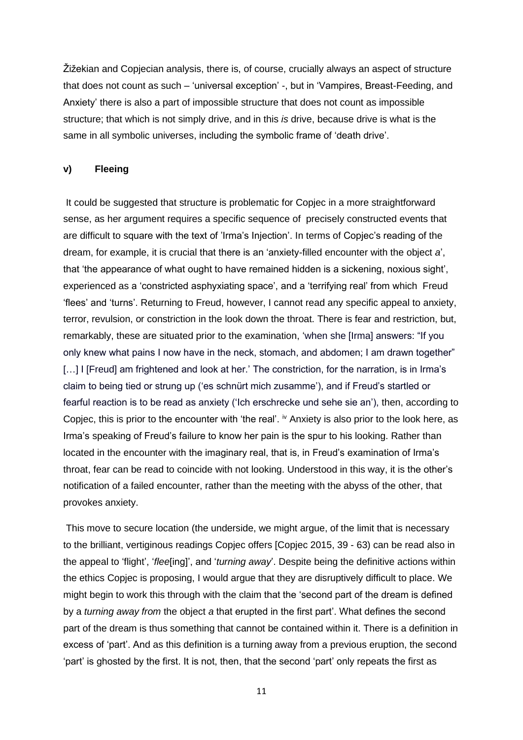Žižekian and Copjecian analysis, there is, of course, crucially always an aspect of structure that does not count as such – 'universal exception' -, but in 'Vampires, Breast-Feeding, and Anxiety' there is also a part of impossible structure that does not count as impossible structure; that which is not simply drive, and in this *is* drive, because drive is what is the same in all symbolic universes, including the symbolic frame of 'death drive'.

#### **v) Fleeing**

It could be suggested that structure is problematic for Copjec in a more straightforward sense, as her argument requires a specific sequence of precisely constructed events that are difficult to square with the text of 'Irma's Injection'. In terms of Copjec's reading of the dream, for example, it is crucial that there is an 'anxiety-filled encounter with the object *a*', that 'the appearance of what ought to have remained hidden is a sickening, noxious sight', experienced as a 'constricted asphyxiating space', and a 'terrifying real' from which Freud 'flees' and 'turns'. Returning to Freud, however, I cannot read any specific appeal to anxiety, terror, revulsion, or constriction in the look down the throat. There is fear and restriction, but, remarkably, these are situated prior to the examination, 'when she [Irma] answers: "If you only knew what pains I now have in the neck, stomach, and abdomen; I am drawn together" [...] I [Freud] am frightened and look at her.' The constriction, for the narration, is in Irma's claim to being tied or strung up ('es schnürt mich zusamme'), and if Freud's startled or fearful reaction is to be read as anxiety ('Ich erschrecke und sehe sie an'), then, according to Copjec, this is prior to the encounter with 'the real'.  $\dot{v}$  Anxiety is also prior to the look here, as Irma's speaking of Freud's failure to know her pain is the spur to his looking. Rather than located in the encounter with the imaginary real, that is, in Freud's examination of Irma's throat, fear can be read to coincide with not looking. Understood in this way, it is the other's notification of a failed encounter, rather than the meeting with the abyss of the other, that provokes anxiety.

This move to secure location (the underside, we might argue, of the limit that is necessary to the brilliant, vertiginous readings Copjec offers [Copjec 2015, 39 - 63) can be read also in the appeal to 'flight', '*flee*[ing]', and '*turning away*'. Despite being the definitive actions within the ethics Copjec is proposing, I would argue that they are disruptively difficult to place. We might begin to work this through with the claim that the 'second part of the dream is defined by a *turning away from* the object *a* that erupted in the first part'. What defines the second part of the dream is thus something that cannot be contained within it. There is a definition in excess of 'part'. And as this definition is a turning away from a previous eruption, the second 'part' is ghosted by the first. It is not, then, that the second 'part' only repeats the first as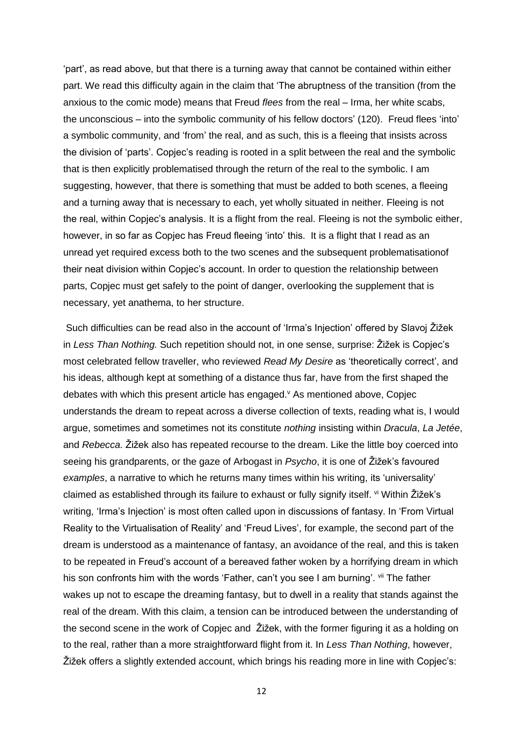'part', as read above, but that there is a turning away that cannot be contained within either part. We read this difficulty again in the claim that 'The abruptness of the transition (from the anxious to the comic mode) means that Freud *flees* from the real – Irma, her white scabs, the unconscious – into the symbolic community of his fellow doctors' (120). Freud flees 'into' a symbolic community, and 'from' the real, and as such, this is a fleeing that insists across the division of 'parts'. Copjec's reading is rooted in a split between the real and the symbolic that is then explicitly problematised through the return of the real to the symbolic. I am suggesting, however, that there is something that must be added to both scenes, a fleeing and a turning away that is necessary to each, yet wholly situated in neither. Fleeing is not the real, within Copjec's analysis. It is a flight from the real. Fleeing is not the symbolic either, however, in so far as Copjec has Freud fleeing 'into' this. It is a flight that I read as an unread yet required excess both to the two scenes and the subsequent problematisationof their neat division within Copjec's account. In order to question the relationship between parts, Copjec must get safely to the point of danger, overlooking the supplement that is necessary, yet anathema, to her structure.

Such difficulties can be read also in the account of 'Irma's Injection' offered by Slavoj Žižek in *Less Than Nothing.* Such repetition should not, in one sense, surprise: Žižek is Copjec's most celebrated fellow traveller, who reviewed *Read My Desire* as 'theoretically correct', and his ideas, although kept at something of a distance thus far, have from the first shaped the debates with which this present article has engaged. <sup>v</sup> As mentioned above, Copjec understands the dream to repeat across a diverse collection of texts, reading what is, I would argue, sometimes and sometimes not its constitute *nothing* insisting within *Dracula*, *La Jetée*, and *Rebecca.* Žižek also has repeated recourse to the dream. Like the little boy coerced into seeing his grandparents, or the gaze of Arbogast in *Psycho*, it is one of Žižek's favoured *examples*, a narrative to which he returns many times within his writing, its 'universality' claimed as established through its failure to exhaust or fully signify itself. vi Within Žižek's writing, 'Irma's Injection' is most often called upon in discussions of fantasy. In 'From Virtual Reality to the Virtualisation of Reality' and 'Freud Lives', for example, the second part of the dream is understood as a maintenance of fantasy, an avoidance of the real, and this is taken to be repeated in Freud's account of a bereaved father woken by a horrifying dream in which his son confronts him with the words 'Father, can't you see I am burning'. vii The father wakes up not to escape the dreaming fantasy, but to dwell in a reality that stands against the real of the dream. With this claim, a tension can be introduced between the understanding of the second scene in the work of Copjec and Žižek, with the former figuring it as a holding on to the real, rather than a more straightforward flight from it. In *Less Than Nothing*, however, Žižek offers a slightly extended account, which brings his reading more in line with Copjec's: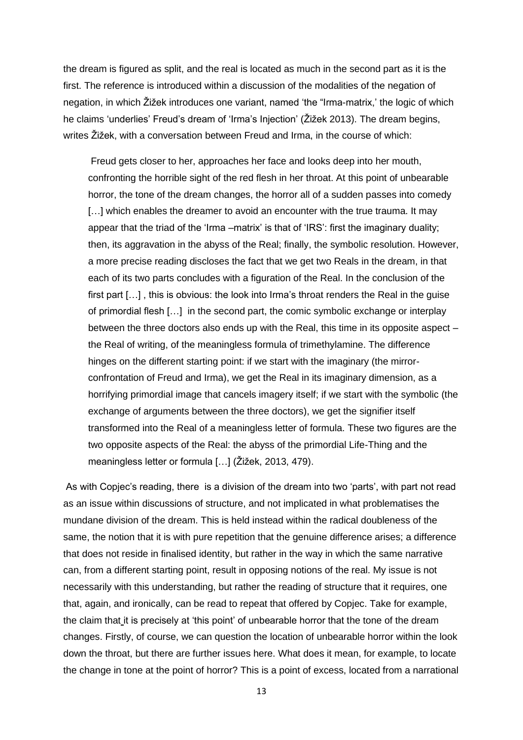the dream is figured as split, and the real is located as much in the second part as it is the first. The reference is introduced within a discussion of the modalities of the negation of negation, in which Žižek introduces one variant, named 'the "Irma-matrix,' the logic of which he claims 'underlies' Freud's dream of 'Irma's Injection' (Žižek 2013). The dream begins, writes Žižek, with a conversation between Freud and Irma, in the course of which:

Freud gets closer to her, approaches her face and looks deep into her mouth, confronting the horrible sight of the red flesh in her throat. At this point of unbearable horror, the tone of the dream changes, the horror all of a sudden passes into comedy [...] which enables the dreamer to avoid an encounter with the true trauma. It may appear that the triad of the 'Irma –matrix' is that of 'IRS': first the imaginary duality; then, its aggravation in the abyss of the Real; finally, the symbolic resolution. However, a more precise reading discloses the fact that we get two Reals in the dream, in that each of its two parts concludes with a figuration of the Real. In the conclusion of the first part […] , this is obvious: the look into Irma's throat renders the Real in the guise of primordial flesh […] in the second part, the comic symbolic exchange or interplay between the three doctors also ends up with the Real, this time in its opposite aspect – the Real of writing, of the meaningless formula of trimethylamine. The difference hinges on the different starting point: if we start with the imaginary (the mirrorconfrontation of Freud and Irma), we get the Real in its imaginary dimension, as a horrifying primordial image that cancels imagery itself; if we start with the symbolic (the exchange of arguments between the three doctors), we get the signifier itself transformed into the Real of a meaningless letter of formula. These two figures are the two opposite aspects of the Real: the abyss of the primordial Life-Thing and the meaningless letter or formula […] (Žižek, 2013, 479).

As with Copjec's reading, there is a division of the dream into two 'parts', with part not read as an issue within discussions of structure, and not implicated in what problematises the mundane division of the dream. This is held instead within the radical doubleness of the same, the notion that it is with pure repetition that the genuine difference arises; a difference that does not reside in finalised identity, but rather in the way in which the same narrative can, from a different starting point, result in opposing notions of the real. My issue is not necessarily with this understanding, but rather the reading of structure that it requires, one that, again, and ironically, can be read to repeat that offered by Copjec. Take for example, the claim that it is precisely at 'this point' of unbearable horror that the tone of the dream changes. Firstly, of course, we can question the location of unbearable horror within the look down the throat, but there are further issues here. What does it mean, for example, to locate the change in tone at the point of horror? This is a point of excess, located from a narrational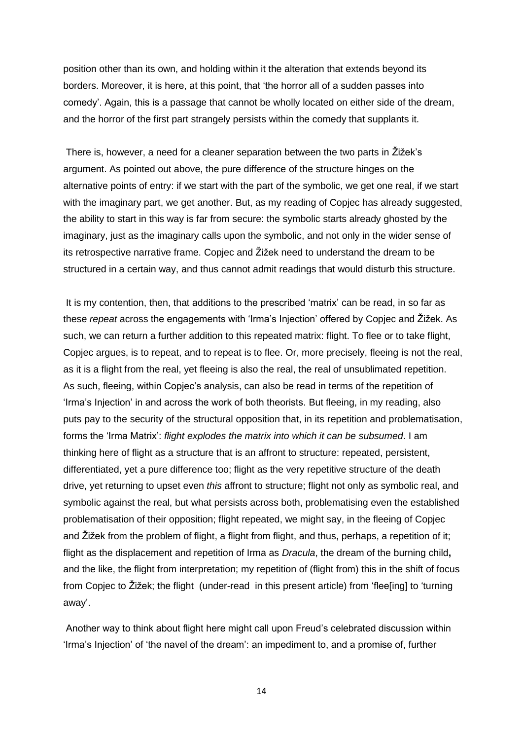position other than its own, and holding within it the alteration that extends beyond its borders. Moreover, it is here, at this point, that 'the horror all of a sudden passes into comedy'. Again, this is a passage that cannot be wholly located on either side of the dream, and the horror of the first part strangely persists within the comedy that supplants it.

There is, however, a need for a cleaner separation between the two parts in Žižek's argument. As pointed out above, the pure difference of the structure hinges on the alternative points of entry: if we start with the part of the symbolic, we get one real, if we start with the imaginary part, we get another. But, as my reading of Copjec has already suggested, the ability to start in this way is far from secure: the symbolic starts already ghosted by the imaginary, just as the imaginary calls upon the symbolic, and not only in the wider sense of its retrospective narrative frame. Copjec and Žižek need to understand the dream to be structured in a certain way, and thus cannot admit readings that would disturb this structure.

It is my contention, then, that additions to the prescribed 'matrix' can be read, in so far as these *repeat* across the engagements with 'Irma's Injection' offered by Copjec and Žižek. As such, we can return a further addition to this repeated matrix: flight. To flee or to take flight, Copjec argues, is to repeat, and to repeat is to flee. Or, more precisely, fleeing is not the real, as it is a flight from the real, yet fleeing is also the real, the real of unsublimated repetition. As such, fleeing, within Copjec's analysis, can also be read in terms of the repetition of 'Irma's Injection' in and across the work of both theorists. But fleeing, in my reading, also puts pay to the security of the structural opposition that, in its repetition and problematisation, forms the 'Irma Matrix': *flight explodes the matrix into which it can be subsumed*. I am thinking here of flight as a structure that is an affront to structure: repeated, persistent, differentiated, yet a pure difference too; flight as the very repetitive structure of the death drive, yet returning to upset even *this* affront to structure; flight not only as symbolic real, and symbolic against the real, but what persists across both, problematising even the established problematisation of their opposition; flight repeated, we might say, in the fleeing of Copjec and Žižek from the problem of flight, a flight from flight, and thus, perhaps, a repetition of it; flight as the displacement and repetition of Irma as *Dracula*, the dream of the burning child**,** and the like, the flight from interpretation; my repetition of (flight from) this in the shift of focus from Copjec to Žižek; the flight (under-read in this present article) from 'flee[ing] to 'turning away'.

Another way to think about flight here might call upon Freud's celebrated discussion within 'Irma's Injection' of 'the navel of the dream': an impediment to, and a promise of, further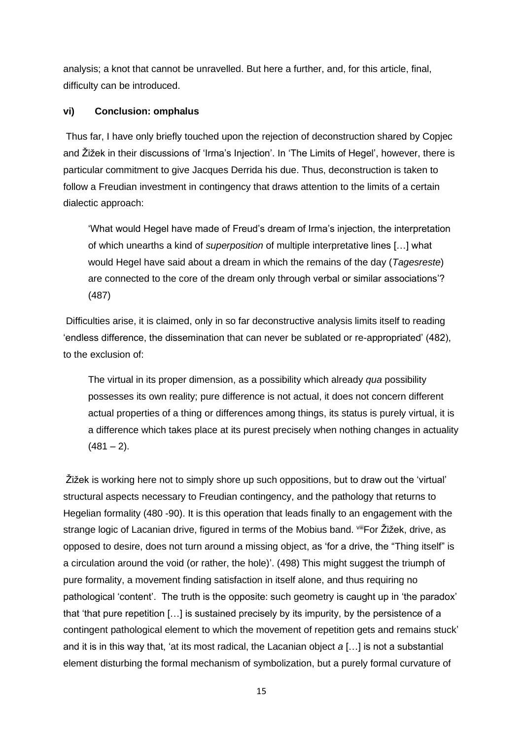analysis; a knot that cannot be unravelled. But here a further, and, for this article, final, difficulty can be introduced.

#### **vi) Conclusion: omphalus**

Thus far, I have only briefly touched upon the rejection of deconstruction shared by Copjec and Žižek in their discussions of 'Irma's Injection'. In 'The Limits of Hegel', however, there is particular commitment to give Jacques Derrida his due. Thus, deconstruction is taken to follow a Freudian investment in contingency that draws attention to the limits of a certain dialectic approach:

'What would Hegel have made of Freud's dream of Irma's injection, the interpretation of which unearths a kind of *superposition* of multiple interpretative lines […] what would Hegel have said about a dream in which the remains of the day (*Tagesreste*) are connected to the core of the dream only through verbal or similar associations'? (487)

Difficulties arise, it is claimed, only in so far deconstructive analysis limits itself to reading 'endless difference, the dissemination that can never be sublated or re-appropriated' (482), to the exclusion of:

The virtual in its proper dimension, as a possibility which already *qua* possibility possesses its own reality; pure difference is not actual, it does not concern different actual properties of a thing or differences among things, its status is purely virtual, it is a difference which takes place at its purest precisely when nothing changes in actuality  $(481 - 2)$ .

Žižek is working here not to simply shore up such oppositions, but to draw out the 'virtual' structural aspects necessary to Freudian contingency, and the pathology that returns to Hegelian formality (480 -90). It is this operation that leads finally to an engagement with the strange logic of Lacanian drive, figured in terms of the Mobius band. Vill For Žižek, drive, as opposed to desire, does not turn around a missing object, as 'for a drive, the "Thing itself" is a circulation around the void (or rather, the hole)'. (498) This might suggest the triumph of pure formality, a movement finding satisfaction in itself alone, and thus requiring no pathological 'content'. The truth is the opposite: such geometry is caught up in 'the paradox' that 'that pure repetition […] is sustained precisely by its impurity, by the persistence of a contingent pathological element to which the movement of repetition gets and remains stuck' and it is in this way that, 'at its most radical, the Lacanian object *a* […] is not a substantial element disturbing the formal mechanism of symbolization, but a purely formal curvature of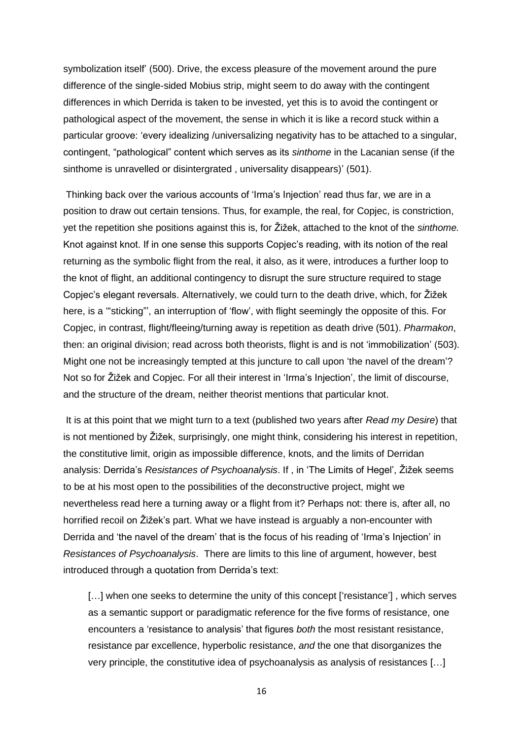symbolization itself' (500). Drive, the excess pleasure of the movement around the pure difference of the single-sided Mobius strip, might seem to do away with the contingent differences in which Derrida is taken to be invested, yet this is to avoid the contingent or pathological aspect of the movement, the sense in which it is like a record stuck within a particular groove: 'every idealizing /universalizing negativity has to be attached to a singular, contingent, "pathological" content which serves as its *sinthome* in the Lacanian sense (if the sinthome is unravelled or disintergrated , universality disappears)' (501).

Thinking back over the various accounts of 'Irma's Injection' read thus far, we are in a position to draw out certain tensions. Thus, for example, the real, for Copjec, is constriction, yet the repetition she positions against this is, for Žižek, attached to the knot of the *sinthome.* Knot against knot. If in one sense this supports Copjec's reading, with its notion of the real returning as the symbolic flight from the real, it also, as it were, introduces a further loop to the knot of flight, an additional contingency to disrupt the sure structure required to stage Copjec's elegant reversals. Alternatively, we could turn to the death drive, which, for Žižek here, is a "sticking", an interruption of 'flow', with flight seemingly the opposite of this. For Copjec, in contrast, flight/fleeing/turning away is repetition as death drive (501). *Pharmakon*, then: an original division; read across both theorists, flight is and is not 'immobilization' (503). Might one not be increasingly tempted at this juncture to call upon 'the navel of the dream'? Not so for Žižek and Copjec. For all their interest in 'Irma's Injection', the limit of discourse, and the structure of the dream, neither theorist mentions that particular knot.

It is at this point that we might turn to a text (published two years after *Read my Desire*) that is not mentioned by Žižek, surprisingly, one might think, considering his interest in repetition, the constitutive limit, origin as impossible difference, knots, and the limits of Derridan analysis: Derrida's *Resistances of Psychoanalysis*. If , in 'The Limits of Hegel', Žižek seems to be at his most open to the possibilities of the deconstructive project, might we nevertheless read here a turning away or a flight from it? Perhaps not: there is, after all, no horrified recoil on Žižek's part. What we have instead is arguably a non-encounter with Derrida and 'the navel of the dream' that is the focus of his reading of 'Irma's Injection' in *Resistances of Psychoanalysis*. There are limits to this line of argument, however, best introduced through a quotation from Derrida's text:

[...] when one seeks to determine the unity of this concept ['resistance'], which serves as a semantic support or paradigmatic reference for the five forms of resistance, one encounters a 'resistance to analysis' that figures *both* the most resistant resistance, resistance par excellence, hyperbolic resistance, *and* the one that disorganizes the very principle, the constitutive idea of psychoanalysis as analysis of resistances […]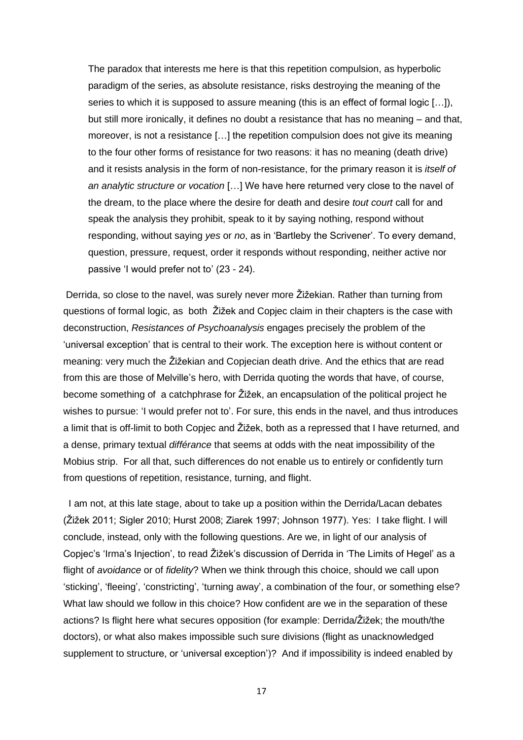The paradox that interests me here is that this repetition compulsion, as hyperbolic paradigm of the series, as absolute resistance, risks destroying the meaning of the series to which it is supposed to assure meaning (this is an effect of formal logic […]), but still more ironically, it defines no doubt a resistance that has no meaning – and that, moreover, is not a resistance […] the repetition compulsion does not give its meaning to the four other forms of resistance for two reasons: it has no meaning (death drive) and it resists analysis in the form of non-resistance, for the primary reason it is *itself of an analytic structure or vocation* […] We have here returned very close to the navel of the dream, to the place where the desire for death and desire *tout court* call for and speak the analysis they prohibit, speak to it by saying nothing, respond without responding, without saying *yes* or *no*, as in 'Bartleby the Scrivener'. To every demand, question, pressure, request, order it responds without responding, neither active nor passive 'I would prefer not to' (23 - 24).

Derrida, so close to the navel, was surely never more Žižekian. Rather than turning from questions of formal logic, as both Žižek and Copjec claim in their chapters is the case with deconstruction, *Resistances of Psychoanalysis* engages precisely the problem of the 'universal exception' that is central to their work. The exception here is without content or meaning: very much the Žižekian and Copjecian death drive. And the ethics that are read from this are those of Melville's hero, with Derrida quoting the words that have, of course, become something of a catchphrase for Žižek, an encapsulation of the political project he wishes to pursue: 'I would prefer not to'. For sure, this ends in the navel, and thus introduces a limit that is off-limit to both Copjec and Žižek, both as a repressed that I have returned, and a dense, primary textual *différance* that seems at odds with the neat impossibility of the Mobius strip. For all that, such differences do not enable us to entirely or confidently turn from questions of repetition, resistance, turning, and flight.

I am not, at this late stage, about to take up a position within the Derrida/Lacan debates (Žižek 2011; Sigler 2010; Hurst 2008; Ziarek 1997; Johnson 1977). Yes: I take flight. I will conclude, instead, only with the following questions. Are we, in light of our analysis of Copjec's 'Irma's Injection', to read Žižek's discussion of Derrida in 'The Limits of Hegel' as a flight of *avoidance* or of *fidelity*? When we think through this choice, should we call upon 'sticking', 'fleeing', 'constricting', 'turning away', a combination of the four, or something else? What law should we follow in this choice? How confident are we in the separation of these actions? Is flight here what secures opposition (for example: Derrida/Žižek; the mouth/the doctors), or what also makes impossible such sure divisions (flight as unacknowledged supplement to structure, or 'universal exception')? And if impossibility is indeed enabled by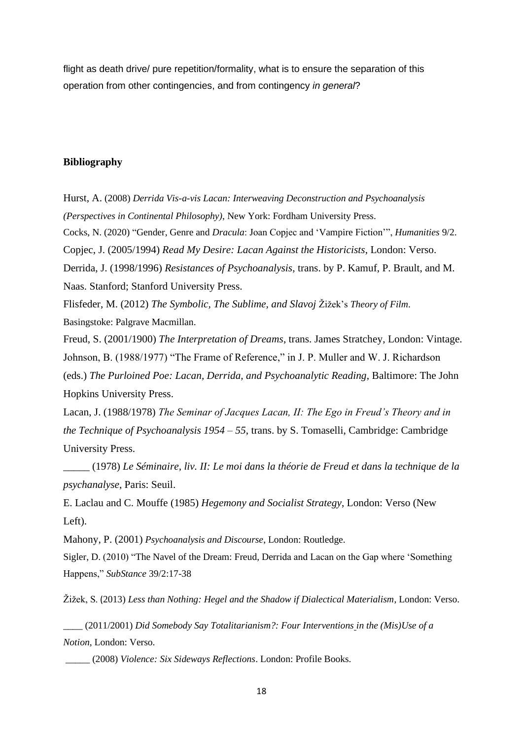flight as death drive/ pure repetition/formality, what is to ensure the separation of this operation from other contingencies, and from contingency *in general*?

#### **Bibliography**

Hurst, A. (2008) *[Derrida Vis-a-vis Lacan: Interweaving Deconstruction and Psychoanalysis](https://www.amazon.co.uk/Derrida-Vis-vis-Lacan-Deconstruction/dp/0823228746/ref=sr_1_21?dchild=1&keywords=derrida+lacan&qid=1611689549&sr=8-21)  [\(Perspectives in Continental Philosophy\)](https://www.amazon.co.uk/Derrida-Vis-vis-Lacan-Deconstruction/dp/0823228746/ref=sr_1_21?dchild=1&keywords=derrida+lacan&qid=1611689549&sr=8-21)*, New York: Fordham University Press. Cocks, N. (2020) "Gender, Genre and *Dracula*: Joan Copjec and 'Vampire Fiction'", *Humanities* 9/2. Copjec, J. (2005/1994) *Read My Desire: Lacan Against the Historicists*, London: Verso. Derrida, J. (1998/1996) *Resistances of Psychoanalysis*, trans. by P. Kamuf, P. Brault, and M. Naas. Stanford; Stanford University Press. Flisfeder, M. (2012) *The Symbolic, The Sublime, and Slavoj* Žižek's *Theory of Film*. Basingstoke: Palgrave Macmillan. Freud, S. (2001/1900) *The Interpretation of Dreams*, trans. James Stratchey, London: Vintage. Johnson, B. (1988/1977) "The Frame of Reference," in J. P. Muller and W. J. Richardson (eds.) *The Purloined Poe: Lacan, Derrida, and Psychoanalytic Reading*, Baltimore: The John Hopkins University Press. Lacan, J. (1988/1978) *The Seminar of Jacques Lacan, II: The Ego in Freud's Theory and in* 

*the Technique of Psychoanalysis 1954 – 55*, trans. by S. Tomaselli, Cambridge: Cambridge University Press.

\_\_\_\_\_ (1978) *Le Séminaire, liv. II: Le moi dans la théorie de Freud et dans la technique de la psychanalyse*, Paris: Seuil.

E. Laclau and C. Mouffe (1985) *Hegemony and Socialist Strategy*, London: Verso (New Left).

Mahony, P. (2001) *Psychoanalysis and Discourse*, London: Routledge.

Sigler, D. (2010) "The Navel of the Dream: Freud, Derrida and Lacan on the Gap where 'Something Happens," *SubStance* 39/2:17-38

Žižek, S. (2013) *Less than Nothing: Hegel and the Shadow if Dialectical Materialism*, London: Verso.

\_\_\_\_ (2011/2001) *Did Somebody Say Totalitarianism?: Four Interventions in the (Mis)Use of a Notion*, London: Verso.

*\_\_\_\_\_* (2008) *Violence: Six Sideways Reflections*. London: Profile Books.